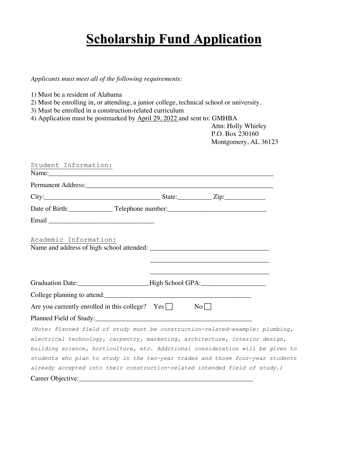## **Scholarship Fund Application**

*Applicants must meet all of the following requirements:*

- 1) Must be a resident of Alabama
- 2) Must be enrolling in, or attending, a junior college, technical school or university.
- 3) Must be enrolled in a construction-related curriculum
- 4) Application must be postmarked by April 29, 2022 and sent to: GMHBA

 Attn: Holly Whirley P.O. Box 230160 Montgomery, AL 36123

| Student Information:                                                                                                                      |  |
|-------------------------------------------------------------------------------------------------------------------------------------------|--|
|                                                                                                                                           |  |
| $City:$ $Zip:$                                                                                                                            |  |
|                                                                                                                                           |  |
|                                                                                                                                           |  |
| Academic Information:                                                                                                                     |  |
| Graduation Date: Figh School GPA:                                                                                                         |  |
|                                                                                                                                           |  |
| Are you currently enrolled in this college? $Yes \Box$ No $\Box$                                                                          |  |
|                                                                                                                                           |  |
| (Note: Planned field of study must be construction-related-example: plumbing,                                                             |  |
| electrical technology, carpentry, marketing, architecture, interior design,                                                               |  |
| building science, horticulture, etc. Additional consideration will be given to                                                            |  |
| students who plan to study in the two-year trades and those four-year students                                                            |  |
| already accepted into their construction-related intended field of study.)                                                                |  |
| Career Objective:<br><u> 2000 - Jan James James James James James James James James James James James James James James James James J</u> |  |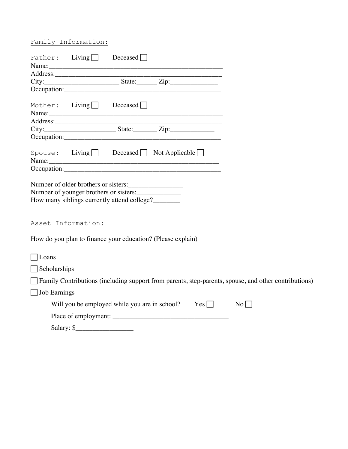## Family Information:

|                     |                    | Father: Living Deceased                                                                                                       |  |                    |                                                                                                      |
|---------------------|--------------------|-------------------------------------------------------------------------------------------------------------------------------|--|--------------------|------------------------------------------------------------------------------------------------------|
|                     |                    | Name:                                                                                                                         |  |                    |                                                                                                      |
|                     |                    |                                                                                                                               |  |                    |                                                                                                      |
|                     |                    |                                                                                                                               |  |                    |                                                                                                      |
|                     |                    |                                                                                                                               |  |                    |                                                                                                      |
|                     |                    | Mother: $\text{Living}$ Deceased                                                                                              |  |                    |                                                                                                      |
|                     |                    |                                                                                                                               |  |                    |                                                                                                      |
|                     |                    | City: State: Zip:                                                                                                             |  |                    |                                                                                                      |
|                     |                    |                                                                                                                               |  |                    |                                                                                                      |
|                     |                    | $\text{Spouse:}$ Living Deceased Not Applicable<br>Name:                                                                      |  |                    |                                                                                                      |
|                     |                    |                                                                                                                               |  |                    |                                                                                                      |
|                     | Asset Information: | Number of older brothers or sisters:<br>Number of younger brothers or sisters:<br>How many siblings currently attend college? |  |                    |                                                                                                      |
|                     |                    | How do you plan to finance your education? (Please explain)                                                                   |  |                    |                                                                                                      |
| $\exists$ Loans     |                    |                                                                                                                               |  |                    |                                                                                                      |
| $\Box$ Scholarships |                    |                                                                                                                               |  |                    |                                                                                                      |
|                     |                    |                                                                                                                               |  |                    | Family Contributions (including support from parents, step-parents, spouse, and other contributions) |
| <b>Job Earnings</b> |                    |                                                                                                                               |  |                    |                                                                                                      |
|                     |                    | Will you be employed while you are in school? Yes $\Box$                                                                      |  | $\overline{N_{0}}$ |                                                                                                      |
|                     |                    |                                                                                                                               |  |                    |                                                                                                      |
|                     | $Salary:$ $\S$     |                                                                                                                               |  |                    |                                                                                                      |
|                     |                    |                                                                                                                               |  |                    |                                                                                                      |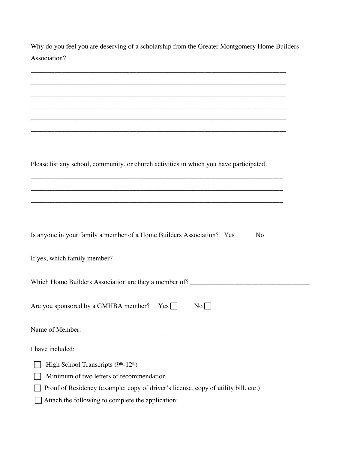Why do you feel you are deserving of a scholarship from the Greater Montgomery Home Builders Association?

| ,我们也不能在这里的时候,我们也不能会在这里,我们也不能会在这里,我们也不能会在这里的时候,我们也不能会在这里的时候,我们也不能会在这里的时候,我们也不能会在这里       |
|-----------------------------------------------------------------------------------------|
|                                                                                         |
|                                                                                         |
|                                                                                         |
|                                                                                         |
|                                                                                         |
|                                                                                         |
| Please list any school, community, or church activities in which you have participated. |
|                                                                                         |
|                                                                                         |
|                                                                                         |
|                                                                                         |
|                                                                                         |
| Is anyone in your family a member of a Home Builders Association? Yes<br>No             |
|                                                                                         |
|                                                                                         |
|                                                                                         |
| Which Home Builders Association are they a member of? __________________________        |
|                                                                                         |
| Are you sponsored by a GMHBA member? $Yes$<br>$No \Box$                                 |
|                                                                                         |
| Name of Member:<br><u> 1980 - Jan Barat, martin a</u>                                   |
| I have included:                                                                        |
|                                                                                         |
| High School Transcripts (9th-12th)                                                      |
| Minimum of two letters of recommendation                                                |
| Proof of Residency (example: copy of driver's license, copy of utility bill, etc.)      |
| Attach the following to complete the application:                                       |